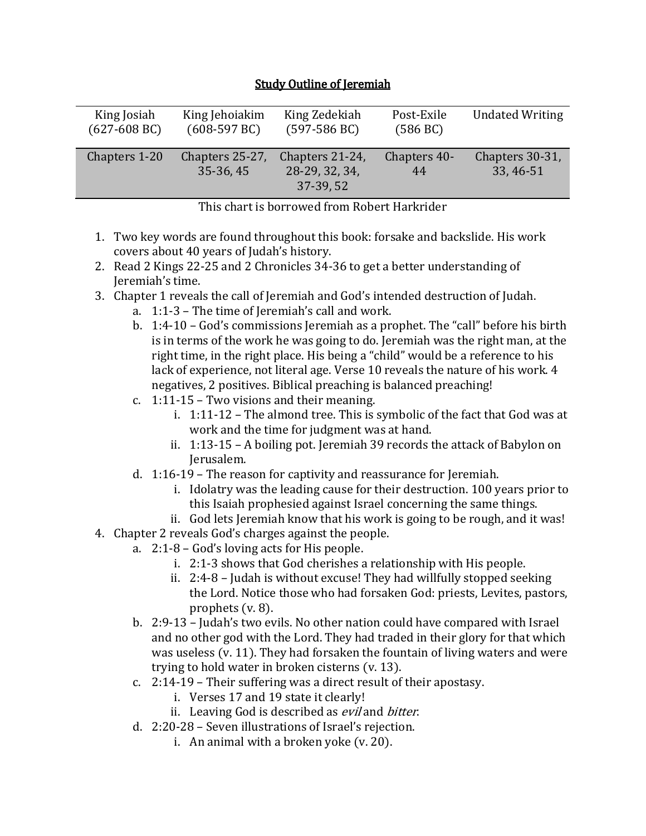| King Josiah             | King Jehoiakim               | King Zedekiah                                  | Post-Exile         | <b>Undated Writing</b>       |
|-------------------------|------------------------------|------------------------------------------------|--------------------|------------------------------|
| $(627-608 \,\text{BC})$ | $(608-597 \text{ BC})$       | $(597-586 \,\text{BC})$                        | (586 BC)           |                              |
| Chapters 1-20           | Chapters 25-27,<br>35-36, 45 | Chapters 21-24,<br>28-29, 32, 34,<br>37-39, 52 | Chapters 40-<br>44 | Chapters 30-31,<br>33, 46-51 |

## **Study Outline of Jeremiah**

This chart is borrowed from Robert Harkrider

- 1. Two key words are found throughout this book: forsake and backslide. His work covers about 40 years of Judah's history.
- 2. Read 2 Kings 22-25 and 2 Chronicles 34-36 to get a better understanding of Jeremiah's time.
- 3. Chapter 1 reveals the call of Jeremiah and God's intended destruction of Judah.
	- a. 1:1-3 The time of Jeremiah's call and work.
	- b. 1:4-10 God's commissions Jeremiah as a prophet. The "call" before his birth is in terms of the work he was going to do. Jeremiah was the right man, at the right time, in the right place. His being a "child" would be a reference to his lack of experience, not literal age. Verse 10 reveals the nature of his work. 4 negatives, 2 positives. Biblical preaching is balanced preaching!
	- c. 1:11-15 Two visions and their meaning.
		- i. 1:11-12 The almond tree. This is symbolic of the fact that God was at work and the time for judgment was at hand.
		- ii. 1:13-15 A boiling pot. Jeremiah 39 records the attack of Babylon on Jerusalem.
	- d. 1:16-19 The reason for captivity and reassurance for Jeremiah.
		- i. Idolatry was the leading cause for their destruction. 100 years prior to this Isaiah prophesied against Israel concerning the same things.
	- ii. God lets Jeremiah know that his work is going to be rough, and it was!
- 4. Chapter 2 reveals God's charges against the people.
	- a. 2:1-8 God's loving acts for His people.
		- i. 2:1-3 shows that God cherishes a relationship with His people.
		- ii. 2:4-8 Judah is without excuse! They had willfully stopped seeking the Lord. Notice those who had forsaken God: priests, Levites, pastors, prophets (v. 8).
	- b. 2:9-13 Judah's two evils. No other nation could have compared with Israel and no other god with the Lord. They had traded in their glory for that which was useless (v. 11). They had forsaken the fountain of living waters and were trying to hold water in broken cisterns (v. 13).
	- c. 2:14-19 Their suffering was a direct result of their apostasy.
		- i. Verses 17 and 19 state it clearly!
		- ii. Leaving God is described as *evil* and *bitter*.
	- d. 2:20-28 Seven illustrations of Israel's rejection.
		- i. An animal with a broken yoke (v. 20).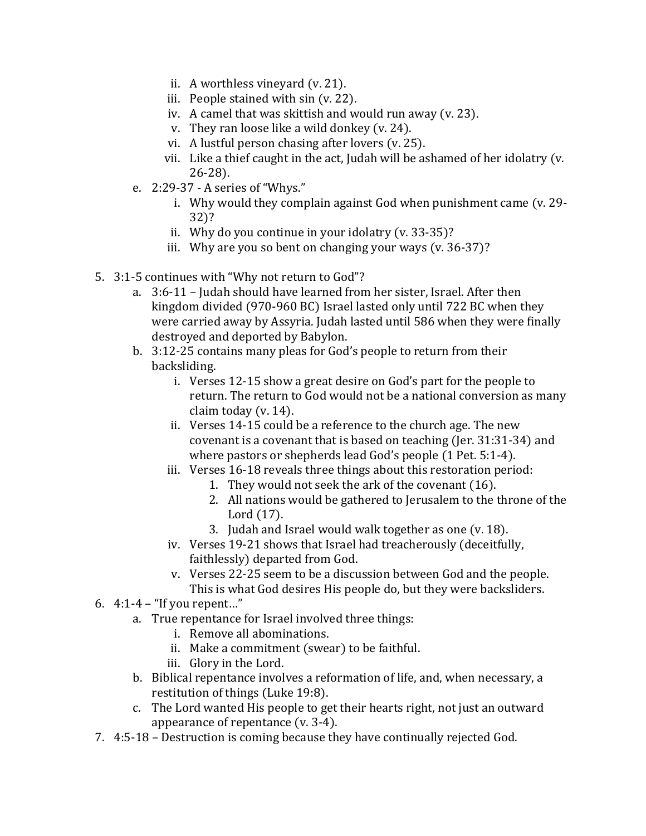- ii. A worthless vineyard (v. 21).
- iii. People stained with sin (v. 22).
- iv. A camel that was skittish and would run away (v. 23).
- v. They ran loose like a wild donkey (v. 24).
- vi. A lustful person chasing after lovers (v. 25).
- vii. Like a thief caught in the act, Judah will be ashamed of her idolatry (v. 26-28).
- e. 2:29-37 A series of "Whys."
	- i. Why would they complain against God when punishment came (v. 29- 32)?
	- ii. Why do you continue in your idolatry (v. 33-35)?
	- iii. Why are you so bent on changing your ways (v. 36-37)?
- 5. 3:1-5 continues with "Why not return to God"?
	- a. 3:6-11 Judah should have learned from her sister, Israel. After then kingdom divided (970-960 BC) Israel lasted only until 722 BC when they were carried away by Assyria. Judah lasted until 586 when they were finally destroyed and deported by Babylon.
	- b. 3:12-25 contains many pleas for God's people to return from their backsliding.
		- i. Verses 12-15 show a great desire on God's part for the people to return. The return to God would not be a national conversion as many claim today (v. 14).
		- ii. Verses 14-15 could be a reference to the church age. The new covenant is a covenant that is based on teaching (Jer. 31:31-34) and where pastors or shepherds lead God's people (1 Pet. 5:1-4).
		- iii. Verses 16-18 reveals three things about this restoration period:
			- 1. They would not seek the ark of the covenant (16).
			- 2. All nations would be gathered to Jerusalem to the throne of the Lord (17).
			- 3. Judah and Israel would walk together as one (v. 18).
		- iv. Verses 19-21 shows that Israel had treacherously (deceitfully, faithlessly) departed from God.
		- v. Verses 22-25 seem to be a discussion between God and the people. This is what God desires His people do, but they were backsliders.
- 6. 4:1-4 "If you repent…"
	- a. True repentance for Israel involved three things:
		- i. Remove all abominations.
		- ii. Make a commitment (swear) to be faithful.
		- iii. Glory in the Lord.
	- b. Biblical repentance involves a reformation of life, and, when necessary, a restitution of things (Luke 19:8).
	- c. The Lord wanted His people to get their hearts right, not just an outward appearance of repentance (v. 3-4).
- 7. 4:5-18 Destruction is coming because they have continually rejected God.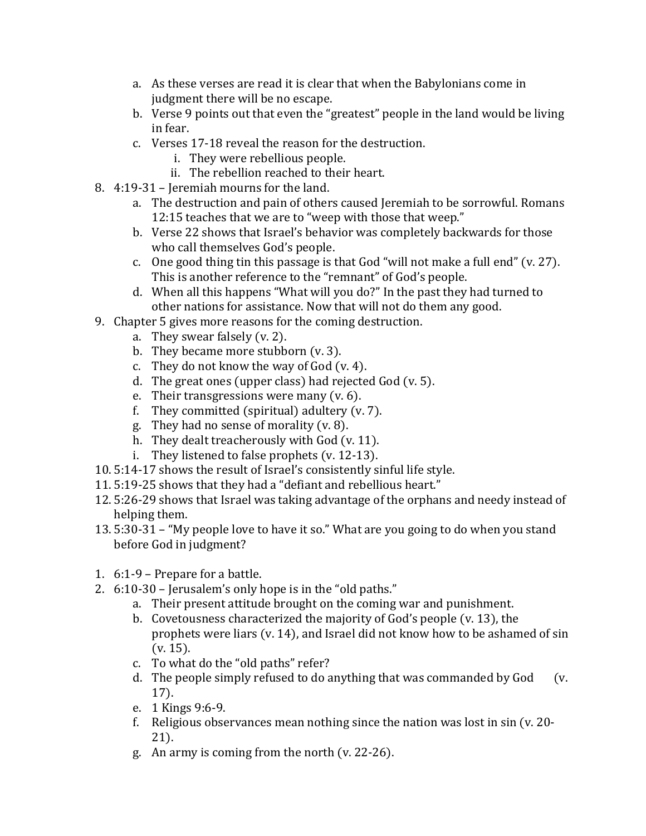- a. As these verses are read it is clear that when the Babylonians come in judgment there will be no escape.
- b. Verse 9 points out that even the "greatest" people in the land would be living in fear.
- c. Verses 17-18 reveal the reason for the destruction.
	- i. They were rebellious people.
	- ii. The rebellion reached to their heart.
- 8. 4:19-31 Jeremiah mourns for the land.
	- a. The destruction and pain of others caused Jeremiah to be sorrowful. Romans 12:15 teaches that we are to "weep with those that weep."
	- b. Verse 22 shows that Israel's behavior was completely backwards for those who call themselves God's people.
	- c. One good thing tin this passage is that God "will not make a full end" (v. 27). This is another reference to the "remnant" of God's people.
	- d. When all this happens "What will you do?" In the past they had turned to other nations for assistance. Now that will not do them any good.
- 9. Chapter 5 gives more reasons for the coming destruction.
	- a. They swear falsely (v. 2).
	- b. They became more stubborn (v. 3).
	- c. They do not know the way of God (v. 4).
	- d. The great ones (upper class) had rejected God (v. 5).
	- e. Their transgressions were many (v. 6).
	- f. They committed (spiritual) adultery (v. 7).
	- g. They had no sense of morality (v. 8).
	- h. They dealt treacherously with God (v. 11).
	- i. They listened to false prophets (v. 12-13).
- 10. 5:14-17 shows the result of Israel's consistently sinful life style.
- 11. 5:19-25 shows that they had a "defiant and rebellious heart."
- 12. 5:26-29 shows that Israel was taking advantage of the orphans and needy instead of helping them.
- 13. 5:30-31 "My people love to have it so." What are you going to do when you stand before God in judgment?
- 1. 6:1-9 Prepare for a battle.
- 2. 6:10-30 Jerusalem's only hope is in the "old paths."
	- a. Their present attitude brought on the coming war and punishment.
	- b. Covetousness characterized the majority of God's people (v. 13), the prophets were liars (v. 14), and Israel did not know how to be ashamed of sin (v. 15).
	- c. To what do the "old paths" refer?
	- d. The people simply refused to do anything that was commanded by God (v. 17).
	- e. 1 Kings 9:6-9.
	- f. Religious observances mean nothing since the nation was lost in sin (v. 20- 21).
	- g. An army is coming from the north (v. 22-26).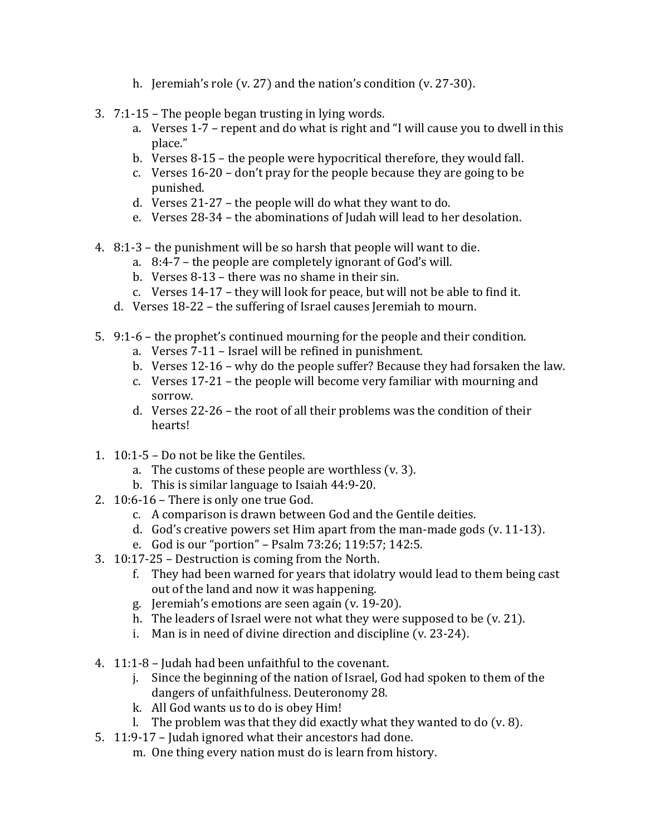- h. Jeremiah's role (v. 27) and the nation's condition (v. 27-30).
- 3. 7:1-15 The people began trusting in lying words.
	- a. Verses 1-7 repent and do what is right and "I will cause you to dwell in this place."
	- b. Verses 8-15 the people were hypocritical therefore, they would fall.
	- c. Verses 16-20 don't pray for the people because they are going to be punished.
	- d. Verses 21-27 the people will do what they want to do.
	- e. Verses 28-34 the abominations of Judah will lead to her desolation.
- 4. 8:1-3 the punishment will be so harsh that people will want to die.
	- a. 8:4-7 the people are completely ignorant of God's will.
	- b. Verses 8-13 there was no shame in their sin.
	- c. Verses 14-17 they will look for peace, but will not be able to find it.
	- d. Verses 18-22 the suffering of Israel causes Jeremiah to mourn.
- 5. 9:1-6 the prophet's continued mourning for the people and their condition.
	- a. Verses 7-11 Israel will be refined in punishment.
	- b. Verses 12-16 why do the people suffer? Because they had forsaken the law.
	- c. Verses 17-21 the people will become very familiar with mourning and sorrow.
	- d. Verses 22-26 the root of all their problems was the condition of their hearts!
- 1. 10:1-5 Do not be like the Gentiles.
	- a. The customs of these people are worthless (v. 3).
	- b. This is similar language to Isaiah 44:9-20.
- 2. 10:6-16 There is only one true God.
	- c. A comparison is drawn between God and the Gentile deities.
	- d. God's creative powers set Him apart from the man-made gods (v. 11-13).
	- e. God is our "portion" Psalm 73:26; 119:57; 142:5.
- 3. 10:17-25 Destruction is coming from the North.
	- f. They had been warned for years that idolatry would lead to them being cast out of the land and now it was happening.
	- g. Jeremiah's emotions are seen again (v. 19-20).
	- h. The leaders of Israel were not what they were supposed to be (v. 21).
	- i. Man is in need of divine direction and discipline (v. 23-24).
- 4. 11:1-8 Judah had been unfaithful to the covenant.
	- j. Since the beginning of the nation of Israel, God had spoken to them of the dangers of unfaithfulness. Deuteronomy 28.
	- k. All God wants us to do is obey Him!
	- l. The problem was that they did exactly what they wanted to do  $(v. 8)$ .
- 5. 11:9-17 Judah ignored what their ancestors had done.
	- m. One thing every nation must do is learn from history.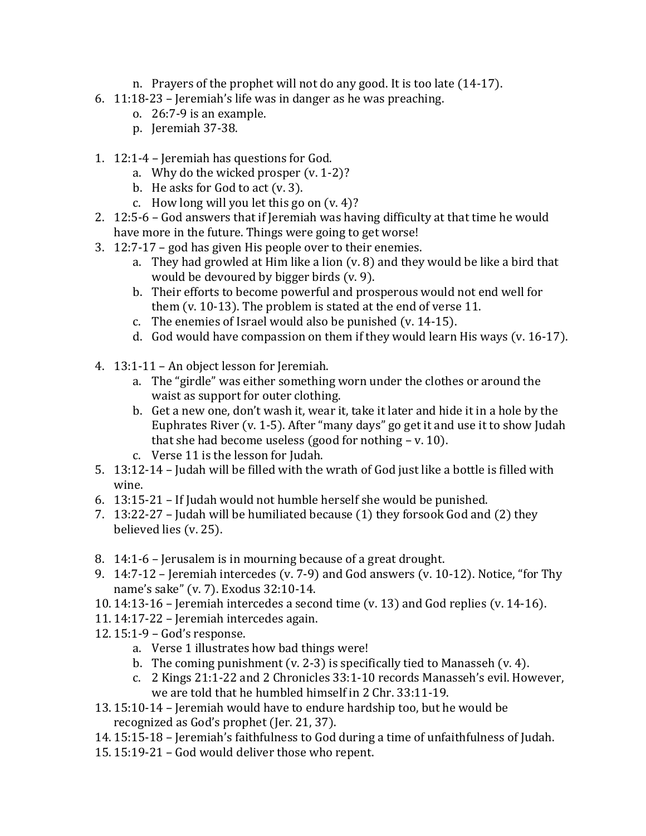- n. Prayers of the prophet will not do any good. It is too late (14-17).
- 6. 11:18-23 Jeremiah's life was in danger as he was preaching.
	- o. 26:7-9 is an example.
	- p. Jeremiah 37-38.
- 1. 12:1-4 Jeremiah has questions for God.
	- a. Why do the wicked prosper (v. 1-2)?
	- b. He asks for God to act (v. 3).
	- c. How long will you let this go on  $(v. 4)$ ?
- 2. 12:5-6 God answers that if Jeremiah was having difficulty at that time he would have more in the future. Things were going to get worse!
- 3. 12:7-17 god has given His people over to their enemies.
	- a. They had growled at Him like a lion (v. 8) and they would be like a bird that would be devoured by bigger birds (v. 9).
	- b. Their efforts to become powerful and prosperous would not end well for them (v. 10-13). The problem is stated at the end of verse 11.
	- c. The enemies of Israel would also be punished (v. 14-15).
	- d. God would have compassion on them if they would learn His ways (v. 16-17).
- 4. 13:1-11 An object lesson for Jeremiah.
	- a. The "girdle" was either something worn under the clothes or around the waist as support for outer clothing.
	- b. Get a new one, don't wash it, wear it, take it later and hide it in a hole by the Euphrates River (v. 1-5). After "many days" go get it and use it to show Judah that she had become useless (good for nothing  $- v. 10$ ).
	- c. Verse 11 is the lesson for Judah.
- 5. 13:12-14 Judah will be filled with the wrath of God just like a bottle is filled with wine.
- 6. 13:15-21 If Judah would not humble herself she would be punished.
- 7. 13:22-27 Judah will be humiliated because (1) they forsook God and (2) they believed lies (v. 25).
- 8. 14:1-6 Jerusalem is in mourning because of a great drought.
- 9. 14:7-12 Jeremiah intercedes (v. 7-9) and God answers (v. 10-12). Notice, "for Thy name's sake" (v. 7). Exodus 32:10-14.
- 10. 14:13-16 Jeremiah intercedes a second time (v. 13) and God replies (v. 14-16).
- 11. 14:17-22 Jeremiah intercedes again.
- 12. 15:1-9 God's response.
	- a. Verse 1 illustrates how bad things were!
	- b. The coming punishment (v. 2-3) is specifically tied to Manasseh (v. 4).
	- c. 2 Kings 21:1-22 and 2 Chronicles 33:1-10 records Manasseh's evil. However, we are told that he humbled himself in 2 Chr. 33:11-19.
- 13. 15:10-14 Jeremiah would have to endure hardship too, but he would be recognized as God's prophet (Jer. 21, 37).
- 14. 15:15-18 Jeremiah's faithfulness to God during a time of unfaithfulness of Judah.
- 15. 15:19-21 God would deliver those who repent.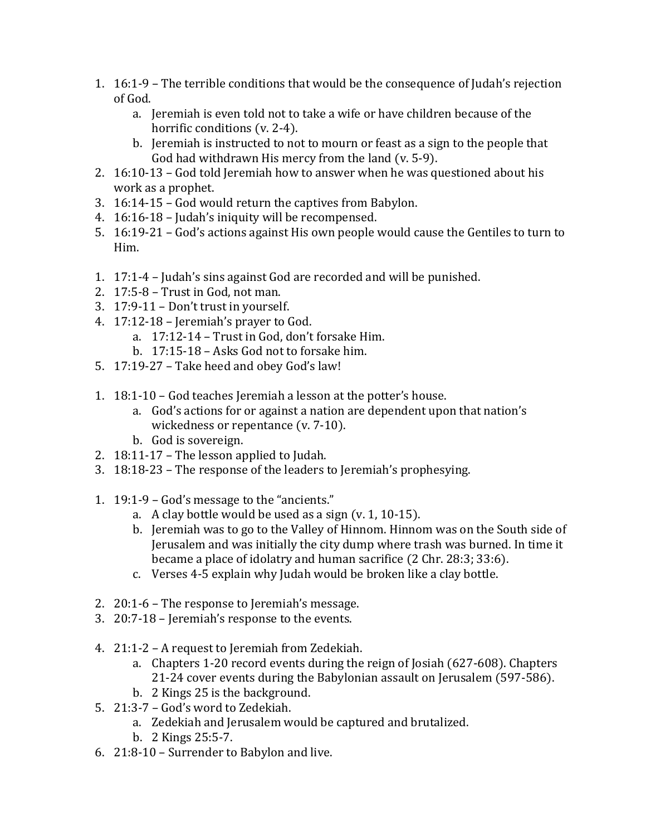- 1. 16:1-9 The terrible conditions that would be the consequence of Judah's rejection of God.
	- a. Jeremiah is even told not to take a wife or have children because of the horrific conditions (v. 2-4).
	- b. Jeremiah is instructed to not to mourn or feast as a sign to the people that God had withdrawn His mercy from the land (v. 5-9).
- 2. 16:10-13 God told Jeremiah how to answer when he was questioned about his work as a prophet.
- 3. 16:14-15 God would return the captives from Babylon.
- 4. 16:16-18 Judah's iniquity will be recompensed.
- 5. 16:19-21 God's actions against His own people would cause the Gentiles to turn to Him.
- 1. 17:1-4 Judah's sins against God are recorded and will be punished.
- 2. 17:5-8 Trust in God, not man.
- 3. 17:9-11 Don't trust in yourself.
- 4. 17:12-18 Jeremiah's prayer to God.
	- a. 17:12-14 Trust in God, don't forsake Him.
	- b. 17:15-18 Asks God not to forsake him.
- 5. 17:19-27 Take heed and obey God's law!
- 1. 18:1-10 God teaches Jeremiah a lesson at the potter's house.
	- a. God's actions for or against a nation are dependent upon that nation's wickedness or repentance (v. 7-10).
	- b. God is sovereign.
- 2. 18:11-17 The lesson applied to Judah.
- 3. 18:18-23 The response of the leaders to Jeremiah's prophesying.
- 1. 19:1-9 God's message to the "ancients."
	- a. A clay bottle would be used as a sign (v. 1, 10-15).
	- b. Jeremiah was to go to the Valley of Hinnom. Hinnom was on the South side of Jerusalem and was initially the city dump where trash was burned. In time it became a place of idolatry and human sacrifice (2 Chr. 28:3; 33:6).
	- c. Verses 4-5 explain why Judah would be broken like a clay bottle.
- 2. 20:1-6 The response to Jeremiah's message.
- 3. 20:7-18 Jeremiah's response to the events.
- 4. 21:1-2 A request to Jeremiah from Zedekiah.
	- a. Chapters 1-20 record events during the reign of Josiah (627-608). Chapters 21-24 cover events during the Babylonian assault on Jerusalem (597-586).
	- b. 2 Kings 25 is the background.
- 5. 21:3-7 God's word to Zedekiah.
	- a. Zedekiah and Jerusalem would be captured and brutalized.
	- b. 2 Kings 25:5-7.
- 6. 21:8-10 Surrender to Babylon and live.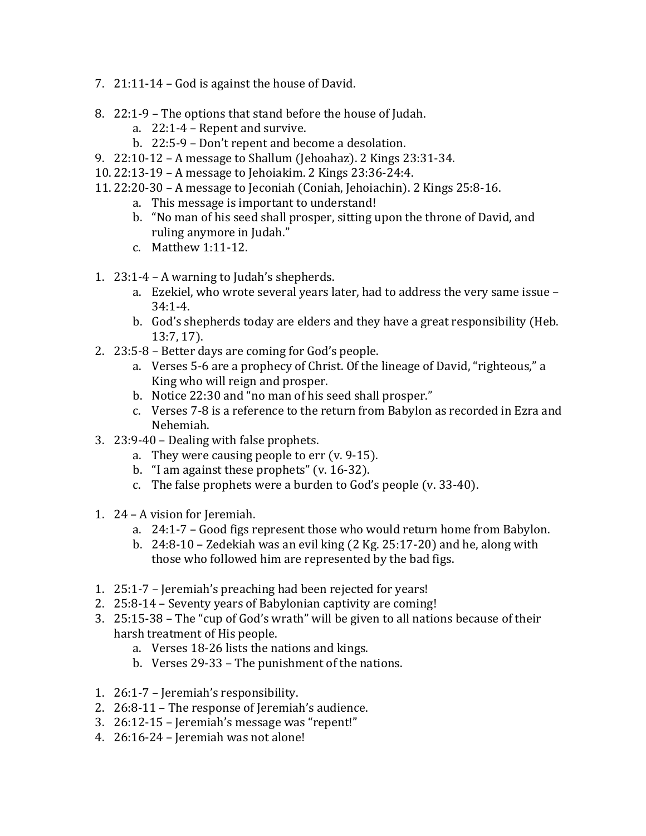- 7. 21:11-14 God is against the house of David.
- 8. 22:1-9 The options that stand before the house of Judah.
	- a. 22:1-4 Repent and survive.
	- b. 22:5-9 Don't repent and become a desolation.
- 9. 22:10-12 A message to Shallum (Jehoahaz). 2 Kings 23:31-34.
- 10. 22:13-19 A message to Jehoiakim. 2 Kings 23:36-24:4.
- 11. 22:20-30 A message to Jeconiah (Coniah, Jehoiachin). 2 Kings 25:8-16.
	- a. This message is important to understand!
	- b. "No man of his seed shall prosper, sitting upon the throne of David, and ruling anymore in Judah."
	- c. Matthew 1:11-12.
- 1. 23:1-4 A warning to Judah's shepherds.
	- a. Ezekiel, who wrote several years later, had to address the very same issue 34:1-4.
	- b. God's shepherds today are elders and they have a great responsibility (Heb. 13:7, 17).
- 2. 23:5-8 Better days are coming for God's people.
	- a. Verses 5-6 are a prophecy of Christ. Of the lineage of David, "righteous," a King who will reign and prosper.
	- b. Notice 22:30 and "no man of his seed shall prosper."
	- c. Verses 7-8 is a reference to the return from Babylon as recorded in Ezra and Nehemiah.
- 3. 23:9-40 Dealing with false prophets.
	- a. They were causing people to err (v. 9-15).
	- b. "I am against these prophets" (v. 16-32).
	- c. The false prophets were a burden to God's people (v. 33-40).
- 1. 24 A vision for Jeremiah.
	- a. 24:1-7 Good figs represent those who would return home from Babylon.
	- b. 24:8-10 Zedekiah was an evil king (2 Kg. 25:17-20) and he, along with those who followed him are represented by the bad figs.
- 1. 25:1-7 Jeremiah's preaching had been rejected for years!
- 2. 25:8-14 Seventy years of Babylonian captivity are coming!
- 3. 25:15-38 The "cup of God's wrath" will be given to all nations because of their harsh treatment of His people.
	- a. Verses 18-26 lists the nations and kings.
	- b. Verses 29-33 The punishment of the nations.
- 1. 26:1-7 Jeremiah's responsibility.
- 2. 26:8-11 The response of Jeremiah's audience.
- 3. 26:12-15 Jeremiah's message was "repent!"
- 4. 26:16-24 Jeremiah was not alone!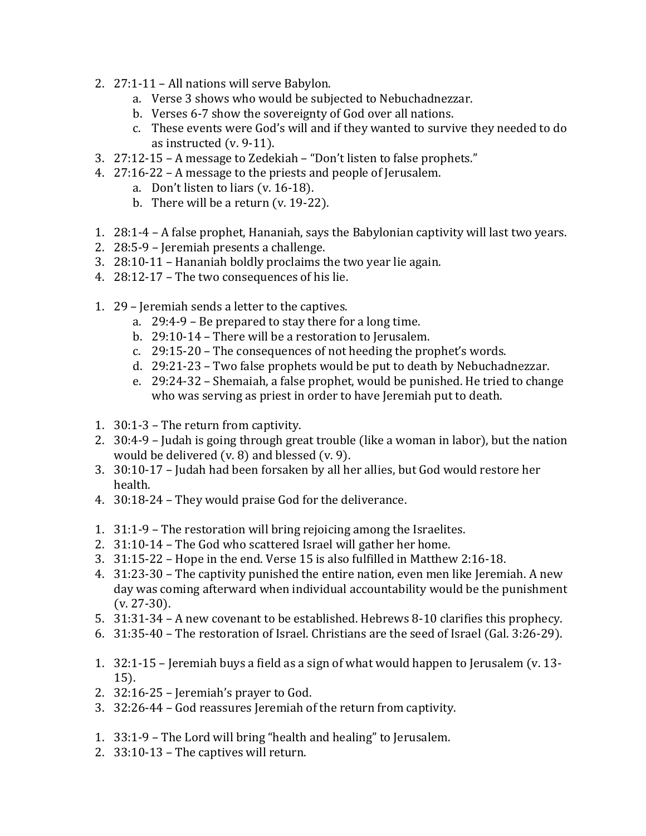- 2. 27:1-11 All nations will serve Babylon.
	- a. Verse 3 shows who would be subjected to Nebuchadnezzar.
	- b. Verses 6-7 show the sovereignty of God over all nations.
	- c. These events were God's will and if they wanted to survive they needed to do as instructed (v. 9-11).
- 3. 27:12-15 A message to Zedekiah "Don't listen to false prophets."
- 4. 27:16-22 A message to the priests and people of Jerusalem.
	- a. Don't listen to liars (v. 16-18).
	- b. There will be a return  $(v. 19-22)$ .
- 1. 28:1-4 A false prophet, Hananiah, says the Babylonian captivity will last two years.
- 2. 28:5-9 Jeremiah presents a challenge.
- 3. 28:10-11 Hananiah boldly proclaims the two year lie again.
- 4. 28:12-17 The two consequences of his lie.
- 1. 29 Jeremiah sends a letter to the captives.
	- a. 29:4-9 Be prepared to stay there for a long time.
	- b. 29:10-14 There will be a restoration to Jerusalem.
	- c. 29:15-20 The consequences of not heeding the prophet's words.
	- d. 29:21-23 Two false prophets would be put to death by Nebuchadnezzar.
	- e. 29:24-32 Shemaiah, a false prophet, would be punished. He tried to change who was serving as priest in order to have Jeremiah put to death.
- 1. 30:1-3 The return from captivity.
- 2. 30:4-9 Judah is going through great trouble (like a woman in labor), but the nation would be delivered (v. 8) and blessed (v. 9).
- 3. 30:10-17 Judah had been forsaken by all her allies, but God would restore her health.
- 4. 30:18-24 They would praise God for the deliverance.
- 1. 31:1-9 The restoration will bring rejoicing among the Israelites.
- 2. 31:10-14 The God who scattered Israel will gather her home.
- 3. 31:15-22 Hope in the end. Verse 15 is also fulfilled in Matthew 2:16-18.
- 4. 31:23-30 The captivity punished the entire nation, even men like Jeremiah. A new day was coming afterward when individual accountability would be the punishment (v. 27-30).
- 5. 31:31-34 A new covenant to be established. Hebrews 8-10 clarifies this prophecy.
- 6. 31:35-40 The restoration of Israel. Christians are the seed of Israel (Gal. 3:26-29).
- 1. 32:1-15 Jeremiah buys a field as a sign of what would happen to Jerusalem (v. 13- 15).
- 2. 32:16-25 Jeremiah's prayer to God.
- 3. 32:26-44 God reassures Jeremiah of the return from captivity.
- 1. 33:1-9 The Lord will bring "health and healing" to Jerusalem.
- 2. 33:10-13 The captives will return.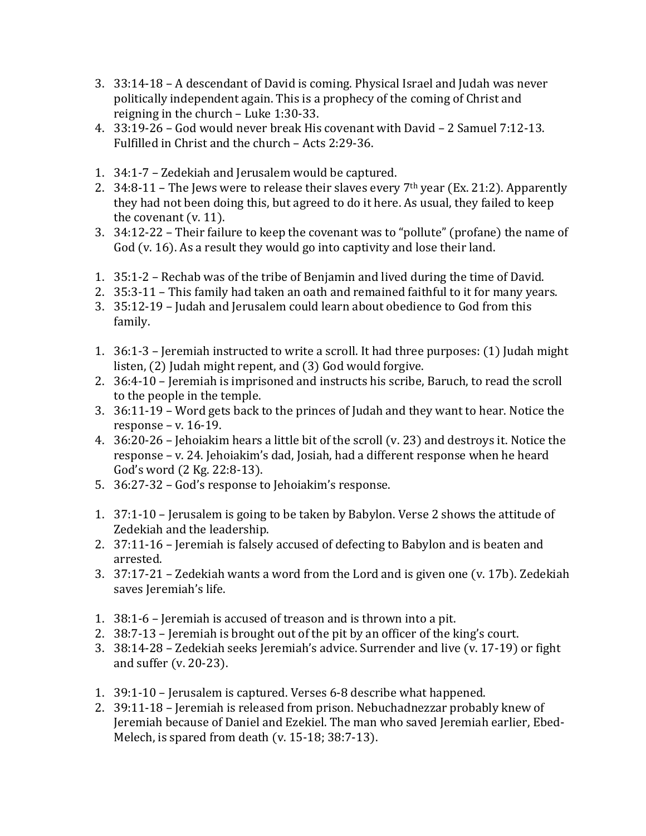- 3. 33:14-18 A descendant of David is coming. Physical Israel and Judah was never politically independent again. This is a prophecy of the coming of Christ and reigning in the church – Luke 1:30-33.
- 4. 33:19-26 God would never break His covenant with David 2 Samuel 7:12-13. Fulfilled in Christ and the church – Acts 2:29-36.
- 1. 34:1-7 Zedekiah and Jerusalem would be captured.
- 2. 34:8-11 The Jews were to release their slaves every  $7<sup>th</sup>$  year (Ex. 21:2). Apparently they had not been doing this, but agreed to do it here. As usual, they failed to keep the covenant (v. 11).
- 3. 34:12-22 Their failure to keep the covenant was to "pollute" (profane) the name of God (v. 16). As a result they would go into captivity and lose their land.
- 1. 35:1-2 Rechab was of the tribe of Benjamin and lived during the time of David.
- 2. 35:3-11 This family had taken an oath and remained faithful to it for many years.
- 3. 35:12-19 Judah and Jerusalem could learn about obedience to God from this family.
- 1. 36:1-3 Jeremiah instructed to write a scroll. It had three purposes: (1) Judah might listen, (2) Judah might repent, and (3) God would forgive.
- 2. 36:4-10 Jeremiah is imprisoned and instructs his scribe, Baruch, to read the scroll to the people in the temple.
- 3. 36:11-19 Word gets back to the princes of Judah and they want to hear. Notice the response – v. 16-19.
- 4. 36:20-26 Jehoiakim hears a little bit of the scroll (v. 23) and destroys it. Notice the response – v. 24. Jehoiakim's dad, Josiah, had a different response when he heard God's word (2 Kg. 22:8-13).
- 5. 36:27-32 God's response to Jehoiakim's response.
- 1. 37:1-10 Jerusalem is going to be taken by Babylon. Verse 2 shows the attitude of Zedekiah and the leadership.
- 2. 37:11-16 Jeremiah is falsely accused of defecting to Babylon and is beaten and arrested.
- 3. 37:17-21 Zedekiah wants a word from the Lord and is given one (v. 17b). Zedekiah saves Jeremiah's life.
- 1. 38:1-6 Jeremiah is accused of treason and is thrown into a pit.
- 2. 38:7-13 Jeremiah is brought out of the pit by an officer of the king's court.
- 3. 38:14-28 Zedekiah seeks Jeremiah's advice. Surrender and live (v. 17-19) or fight and suffer (v. 20-23).
- 1. 39:1-10 Jerusalem is captured. Verses 6-8 describe what happened.
- 2. 39:11-18 Jeremiah is released from prison. Nebuchadnezzar probably knew of Jeremiah because of Daniel and Ezekiel. The man who saved Jeremiah earlier, Ebed-Melech, is spared from death (v. 15-18; 38:7-13).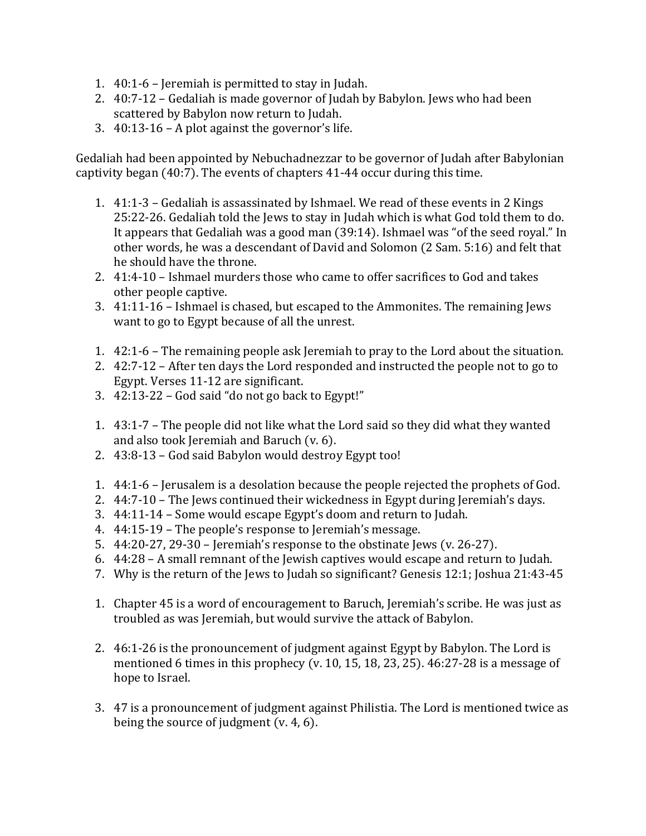- 1. 40:1-6 Jeremiah is permitted to stay in Judah.
- 2. 40:7-12 Gedaliah is made governor of Judah by Babylon. Jews who had been scattered by Babylon now return to Judah.
- 3. 40:13-16 A plot against the governor's life.

Gedaliah had been appointed by Nebuchadnezzar to be governor of Judah after Babylonian captivity began (40:7). The events of chapters 41-44 occur during this time.

- 1. 41:1-3 Gedaliah is assassinated by Ishmael. We read of these events in 2 Kings 25:22-26. Gedaliah told the Jews to stay in Judah which is what God told them to do. It appears that Gedaliah was a good man (39:14). Ishmael was "of the seed royal." In other words, he was a descendant of David and Solomon (2 Sam. 5:16) and felt that he should have the throne.
- 2. 41:4-10 Ishmael murders those who came to offer sacrifices to God and takes other people captive.
- 3. 41:11-16 Ishmael is chased, but escaped to the Ammonites. The remaining Jews want to go to Egypt because of all the unrest.
- 1. 42:1-6 The remaining people ask Jeremiah to pray to the Lord about the situation.
- 2. 42:7-12 After ten days the Lord responded and instructed the people not to go to Egypt. Verses 11-12 are significant.
- 3. 42:13-22 God said "do not go back to Egypt!"
- 1. 43:1-7 The people did not like what the Lord said so they did what they wanted and also took Jeremiah and Baruch (v. 6).
- 2. 43:8-13 God said Babylon would destroy Egypt too!
- 1. 44:1-6 Jerusalem is a desolation because the people rejected the prophets of God.
- 2. 44:7-10 The Jews continued their wickedness in Egypt during Jeremiah's days.
- 3. 44:11-14 Some would escape Egypt's doom and return to Judah.
- 4. 44:15-19 The people's response to Jeremiah's message.
- 5. 44:20-27, 29-30 Jeremiah's response to the obstinate Jews (v. 26-27).
- 6. 44:28 A small remnant of the Jewish captives would escape and return to Judah.
- 7. Why is the return of the Jews to Judah so significant? Genesis 12:1; Joshua 21:43-45
- 1. Chapter 45 is a word of encouragement to Baruch, Jeremiah's scribe. He was just as troubled as was Jeremiah, but would survive the attack of Babylon.
- 2. 46:1-26 is the pronouncement of judgment against Egypt by Babylon. The Lord is mentioned 6 times in this prophecy (v. 10, 15, 18, 23, 25). 46:27-28 is a message of hope to Israel.
- 3. 47 is a pronouncement of judgment against Philistia. The Lord is mentioned twice as being the source of judgment (v. 4, 6).